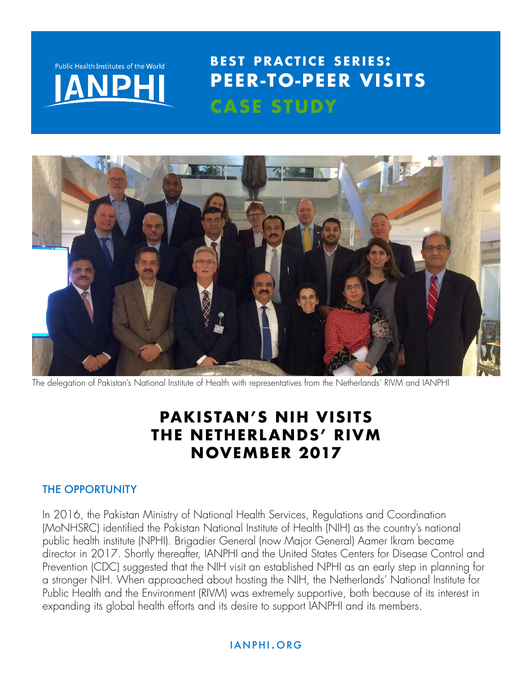

## Internat ional Associat ion of Nat ional Publ ic Health Inst i tutes **BEST PRACTICE SERIES: PEER-TO-PEER VISITS CASE STUDY**



The delegation of Pakistan's National Institute of Health with representatives from the Netherlands' RIVM and IANPHI

# **PAKISTAN'S NIH VISITS THE NETHERLANDS' RIVM NOVEMBER 2017**

### THE OPPORTUNITY

In 2016, the Pakistan Ministry of National Health Services, Regulations and Coordination (MoNHSRC) identified the Pakistan National Institute of Health (NIH) as the country's national public health institute (NPHI). Brigadier General (now Major General) Aamer Ikram became director in 2017. Shortly thereafter, IANPHI and the United States Centers for Disease Control and Prevention (CDC) suggested that the NIH visit an established NPHI as an early step in planning for a stronger NIH. When approached about hosting the NIH, the Netherlands' National Institute for Public Health and the Environment (RIVM) was extremely supportive, both because of its interest in expanding its global health efforts and its desire to support IANPHI and its members.

### ianphi.org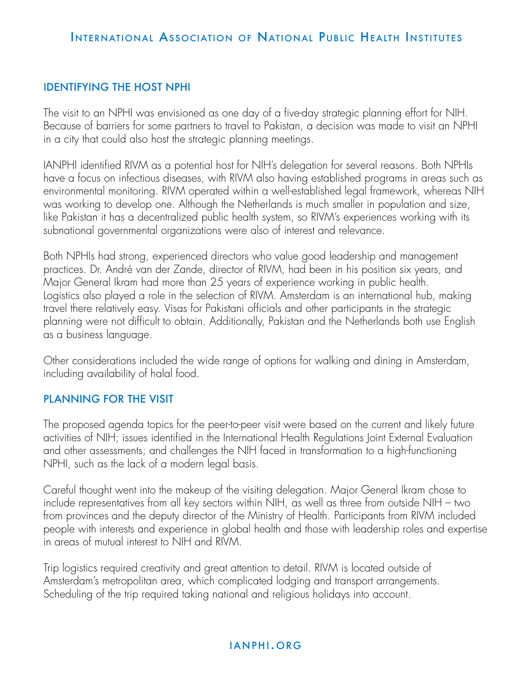## INTERNATIONAL ASSOCIATION OF NATIONAL PUBLIC HEALTH INSTITUTES

### IDENTIFYING THE HOST NPHI

The visit to an NPHI was envisioned as one day of a five-day strategic planning effort for NIH. Because of barriers for some partners to travel to Pakistan, a decision was made to visit an NPHI in a city that could also host the strategic planning meetings.

IANPHI identified RIVM as a potential host for NIH's delegation for several reasons. Both NPHIs have a focus on infectious diseases, with RIVM also having established programs in areas such as environmental monitoring. RIVM operated within a well-established legal framework, whereas NIH was working to develop one. Although the Netherlands is much smaller in population and size, like Pakistan it has a decentralized public health system, so RIVM's experiences working with its subnational governmental organizations were also of interest and relevance.

Both NPHIs had strong, experienced directors who value good leadership and management practices. Dr. André van der Zande, director of RIVM, had been in his position six years, and Major General Ikram had more than 25 years of experience working in public health. Logistics also played a role in the selection of RIVM. Amsterdam is an international hub, making travel there relatively easy. Visas for Pakistani officials and other participants in the strategic planning were not difficult to obtain. Additionally, Pakistan and the Netherlands both use English as a business language.

Other considerations included the wide range of options for walking and dining in Amsterdam, including availability of halal food.

#### PLANNING FOR THE VISIT

The proposed agenda topics for the peer-to-peer visit were based on the current and likely future activities of NIH; issues identified in the International Health Regulations Joint External Evaluation and other assessments; and challenges the NIH faced in transformation to a high-functioning NPHI, such as the lack of a modern legal basis.

Careful thought went into the makeup of the visiting delegation. Major General Ikram chose to include representatives from all key sectors within NIH, as well as three from outside NIH – two from provinces and the deputy director of the Ministry of Health. Participants from RIVM included people with interests and experience in global health and those with leadership roles and expertise in areas of mutual interest to NIH and RIVM.

Trip logistics required creativity and great attention to detail. RIVM is located outside of Amsterdam's metropolitan area, which complicated lodging and transport arrangements. Scheduling of the trip required taking national and religious holidays into account.

### ianphi.org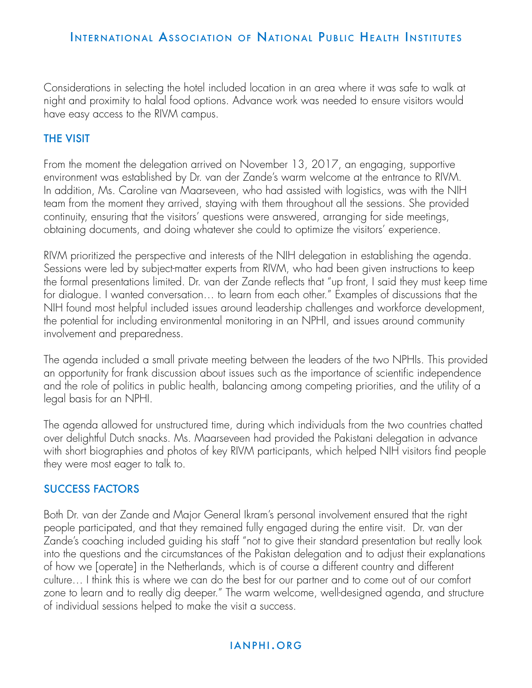### INTERNATIONAL ASSOCIATION OF NATIONAL PUBLIC HEALTH INSTITUTES

Considerations in selecting the hotel included location in an area where it was safe to walk at night and proximity to halal food options. Advance work was needed to ensure visitors would have easy access to the RIVM campus.

### THE VISIT

From the moment the delegation arrived on November 13, 2017, an engaging, supportive environment was established by Dr. van der Zande's warm welcome at the entrance to RIVM. In addition, Ms. Caroline van Maarseveen, who had assisted with logistics, was with the NIH team from the moment they arrived, staying with them throughout all the sessions. She provided continuity, ensuring that the visitors' questions were answered, arranging for side meetings, obtaining documents, and doing whatever she could to optimize the visitors' experience.

RIVM prioritized the perspective and interests of the NIH delegation in establishing the agenda. Sessions were led by subject-matter experts from RIVM, who had been given instructions to keep the formal presentations limited. Dr. van der Zande reflects that "up front, I said they must keep time for dialogue. I wanted conversation… to learn from each other." Examples of discussions that the NIH found most helpful included issues around leadership challenges and workforce development, the potential for including environmental monitoring in an NPHI, and issues around community involvement and preparedness.

The agenda included a small private meeting between the leaders of the two NPHIs. This provided an opportunity for frank discussion about issues such as the importance of scientific independence and the role of politics in public health, balancing among competing priorities, and the utility of a legal basis for an NPHI.

The agenda allowed for unstructured time, during which individuals from the two countries chatted over delightful Dutch snacks. Ms. Maarseveen had provided the Pakistani delegation in advance with short biographies and photos of key RIVM participants, which helped NIH visitors find people they were most eager to talk to.

#### SUCCESS FACTORS

Both Dr. van der Zande and Major General Ikram's personal involvement ensured that the right people participated, and that they remained fully engaged during the entire visit. Dr. van der Zande's coaching included guiding his staff "not to give their standard presentation but really look into the questions and the circumstances of the Pakistan delegation and to adjust their explanations of how we [operate] in the Netherlands, which is of course a different country and different culture… I think this is where we can do the best for our partner and to come out of our comfort zone to learn and to really dig deeper." The warm welcome, well-designed agenda, and structure of individual sessions helped to make the visit a success.

#### ianphi.org